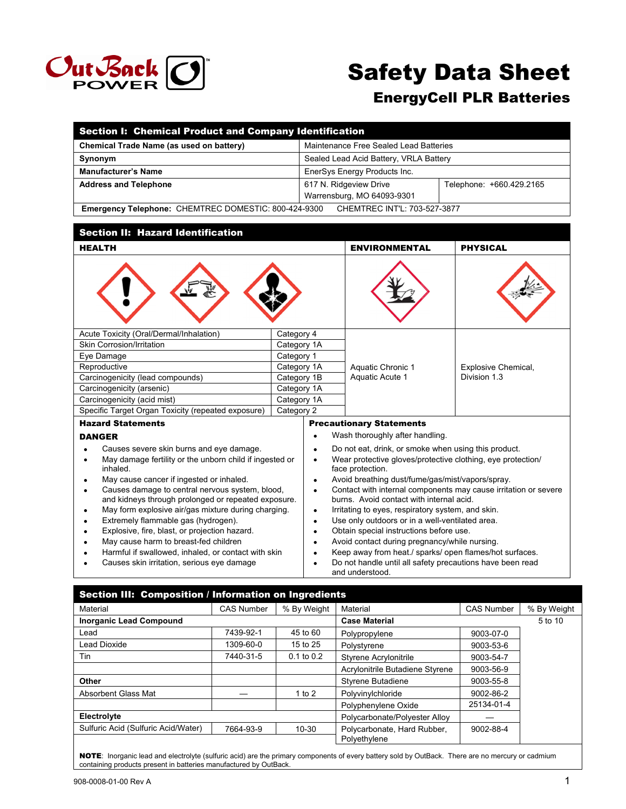

# Safety Data Sheet

# EnergyCell PLR Batteries

| Section I: Chemical Product and Company Identification                                                           |                           |                                                                                              |                                                                                          |                                                           |  |
|------------------------------------------------------------------------------------------------------------------|---------------------------|----------------------------------------------------------------------------------------------|------------------------------------------------------------------------------------------|-----------------------------------------------------------|--|
| Chemical Trade Name (as used on battery)                                                                         |                           |                                                                                              | Maintenance Free Sealed Lead Batteries                                                   |                                                           |  |
| Synonym                                                                                                          |                           |                                                                                              | Sealed Lead Acid Battery, VRLA Battery                                                   |                                                           |  |
| <b>Manufacturer's Name</b>                                                                                       |                           |                                                                                              | EnerSys Energy Products Inc.                                                             |                                                           |  |
| <b>Address and Telephone</b>                                                                                     |                           |                                                                                              | 617 N. Ridgeview Drive                                                                   | Telephone: +660.429.2165                                  |  |
|                                                                                                                  |                           |                                                                                              | Warrensburg, MO 64093-9301                                                               |                                                           |  |
| Emergency Telephone: CHEMTREC DOMESTIC: 800-424-9300                                                             |                           |                                                                                              | CHEMTREC INT'L: 703-527-3877                                                             |                                                           |  |
|                                                                                                                  |                           |                                                                                              |                                                                                          |                                                           |  |
| <b>Section II: Hazard Identification</b>                                                                         |                           |                                                                                              |                                                                                          |                                                           |  |
| <b>HEALTH</b>                                                                                                    |                           |                                                                                              | <b>ENVIRONMENTAL</b>                                                                     | <b>PHYSICAL</b>                                           |  |
|                                                                                                                  |                           |                                                                                              |                                                                                          |                                                           |  |
| Acute Toxicity (Oral/Dermal/Inhalation)<br>Skin Corrosion/Irritation                                             | Category 4<br>Category 1A |                                                                                              |                                                                                          |                                                           |  |
| Eye Damage                                                                                                       |                           | Category 1                                                                                   |                                                                                          |                                                           |  |
| Reproductive                                                                                                     | Category 1A               | Aquatic Chronic 1                                                                            |                                                                                          | Explosive Chemical,                                       |  |
| Carcinogenicity (lead compounds)                                                                                 | Category 1B               |                                                                                              | Aquatic Acute 1                                                                          | Division 1.3                                              |  |
| Carcinogenicity (arsenic)                                                                                        | Category 1A               |                                                                                              |                                                                                          |                                                           |  |
| Carcinogenicity (acid mist)                                                                                      | Category 1A               |                                                                                              |                                                                                          |                                                           |  |
| Specific Target Organ Toxicity (repeated exposure)                                                               | Category 2                |                                                                                              |                                                                                          |                                                           |  |
| <b>Hazard Statements</b>                                                                                         |                           |                                                                                              | <b>Precautionary Statements</b>                                                          |                                                           |  |
| <b>DANGER</b>                                                                                                    |                           | $\bullet$                                                                                    | Wash thoroughly after handling.                                                          |                                                           |  |
| Causes severe skin burns and eye damage.<br>$\bullet$                                                            |                           | $\bullet$                                                                                    | Do not eat, drink, or smoke when using this product.                                     |                                                           |  |
| May damage fertility or the unborn child if ingested or<br>$\bullet$<br>inhaled.                                 |                           | Wear protective gloves/protective clothing, eye protection/<br>$\bullet$<br>face protection. |                                                                                          |                                                           |  |
| May cause cancer if ingested or inhaled.<br>$\bullet$                                                            |                           | Avoid breathing dust/fume/gas/mist/vapors/spray.<br>$\bullet$                                |                                                                                          |                                                           |  |
| Causes damage to central nervous system, blood,<br>$\bullet$                                                     |                           | Contact with internal components may cause irritation or severe<br>$\bullet$                 |                                                                                          |                                                           |  |
| and kidneys through prolonged or repeated exposure.                                                              |                           | burns. Avoid contact with internal acid.                                                     |                                                                                          |                                                           |  |
| May form explosive air/gas mixture during charging.<br>$\bullet$                                                 |                           | $\bullet$                                                                                    | Irritating to eyes, respiratory system, and skin.                                        |                                                           |  |
| Extremely flammable gas (hydrogen).<br>$\bullet$                                                                 |                           | $\bullet$                                                                                    | Use only outdoors or in a well-ventilated area.                                          |                                                           |  |
| Explosive, fire, blast, or projection hazard.<br>$\bullet$<br>May cause harm to breast-fed children<br>$\bullet$ |                           | $\bullet$<br>$\bullet$                                                                       | Obtain special instructions before use.<br>Avoid contact during pregnancy/while nursing. |                                                           |  |
| Harmful if swallowed, inhaled, or contact with skin                                                              |                           | $\bullet$                                                                                    |                                                                                          | Keep away from heat./ sparks/ open flames/hot surfaces.   |  |
| Causes skin irritation, serious eye damage<br>$\bullet$                                                          |                           | $\bullet$                                                                                    |                                                                                          | Do not handle until all safety precautions have been read |  |
|                                                                                                                  |                           | and understood.                                                                              |                                                                                          |                                                           |  |

Section III: Composition / Information on Ingredients Material **CAS Number | % By Weight | Material** CAS Number | % By Weight | CAS Number | % By Weight **Inorganic Lead Compound Case Material Case Material Case Material** 5 to 10 Lead **7439-92-1** 45 to 60 Polypropylene 9003-07-0 Lead Dioxide **1309-60-0** 15 to 25 Polystyrene 19003-53-6 Tin 19003-54-7440-31-5 0.1 to 0.2 Styrene Acrylonitrile 9003-54-7 Acrylonitrile Butadiene Styrene | 9003-56-9 **Other**  Styrene Butadiene **1** 1 2003-55-8 Absorbent Glass Mat  $-$  1 to 2 Polyvinylchloride 9002-86-2 Polyphenylene Oxide 25134-01-4 **Electrolyte Electrolyte Polycarbonate/Polyester Alloy** Sulfuric Acid (Sulfuric Acid/Water) 7664-93-9 10-30 Polycarbonate, Hard Rubber, Polyethylene 9002-88-4

NOTE: Inorganic lead and electrolyte (sulfuric acid) are the primary components of every battery sold by OutBack. There are no mercury or cadmium containing products present in batteries manufactured by OutBack.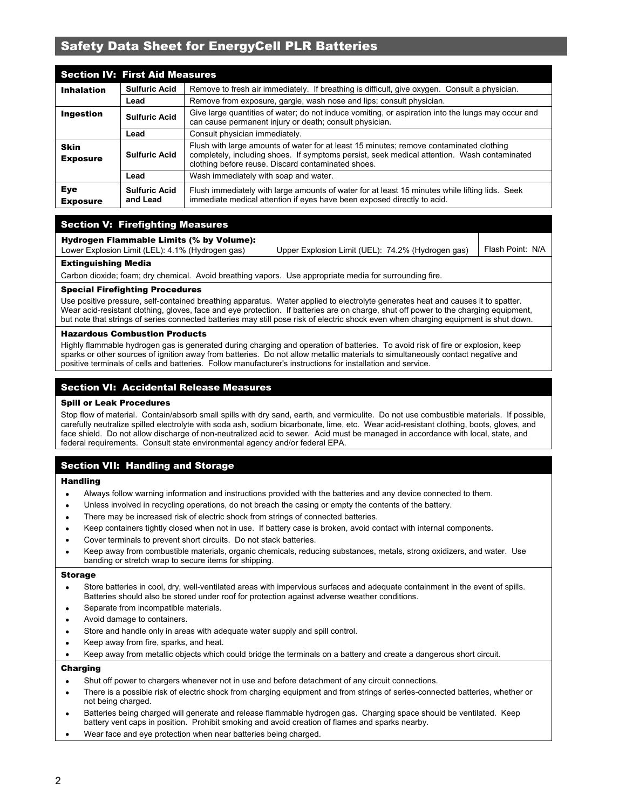| <b>Section IV: First Aid Measures</b> |                                  |                                                                                                                                                                                                                                              |  |  |
|---------------------------------------|----------------------------------|----------------------------------------------------------------------------------------------------------------------------------------------------------------------------------------------------------------------------------------------|--|--|
| <b>Inhalation</b>                     | <b>Sulfuric Acid</b>             | Remove to fresh air immediately. If breathing is difficult, give oxygen. Consult a physician.                                                                                                                                                |  |  |
|                                       | Lead                             | Remove from exposure, gargle, wash nose and lips; consult physician.                                                                                                                                                                         |  |  |
| Ingestion                             | <b>Sulfuric Acid</b>             | Give large quantities of water; do not induce vomiting, or aspiration into the lungs may occur and<br>can cause permanent injury or death; consult physician.                                                                                |  |  |
|                                       | Lead                             | Consult physician immediately.                                                                                                                                                                                                               |  |  |
| <b>Skin</b><br><b>Exposure</b>        | <b>Sulfuric Acid</b>             | Flush with large amounts of water for at least 15 minutes; remove contaminated clothing<br>completely, including shoes. If symptoms persist, seek medical attention. Wash contaminated<br>clothing before reuse. Discard contaminated shoes. |  |  |
|                                       | Lead                             | Wash immediately with soap and water.                                                                                                                                                                                                        |  |  |
| Eye<br><b>Exposure</b>                | <b>Sulfuric Acid</b><br>and Lead | Flush immediately with large amounts of water for at least 15 minutes while lifting lids. Seek<br>immediate medical attention if eyes have been exposed directly to acid.                                                                    |  |  |

#### Section V: Firefighting Measures

#### Hydrogen Flammable Limits (% by Volume):

| <b>Eytinguiching Madia</b>                       |                                                                      |  |
|--------------------------------------------------|----------------------------------------------------------------------|--|
| Lower Explosion Limit (LEL): 4.1% (Hydrogen gas) | Upper Explosion Limit (UEL): 74.2% (Hydrogen gas)   Flash Point: N/A |  |

#### Extinguishing Media

Carbon dioxide; foam; dry chemical. Avoid breathing vapors. Use appropriate media for surrounding fire.

#### Special Firefighting Procedures

Use positive pressure, self-contained breathing apparatus. Water applied to electrolyte generates heat and causes it to spatter. Wear acid-resistant clothing, gloves, face and eye protection. If batteries are on charge, shut off power to the charging equipment, but note that strings of series connected batteries may still pose risk of electric shock even when charging equipment is shut down.

#### Hazardous Combustion Products

Highly flammable hydrogen gas is generated during charging and operation of batteries. To avoid risk of fire or explosion, keep sparks or other sources of ignition away from batteries. Do not allow metallic materials to simultaneously contact negative and positive terminals of cells and batteries. Follow manufacturer's instructions for installation and service.

#### Section VI: Accidental Release Measures

#### Spill or Leak Procedures

Stop flow of material. Contain/absorb small spills with dry sand, earth, and vermiculite. Do not use combustible materials. If possible, carefully neutralize spilled electrolyte with soda ash, sodium bicarbonate, lime, etc. Wear acid-resistant clothing, boots, gloves, and face shield. Do not allow discharge of non-neutralized acid to sewer. Acid must be managed in accordance with local, state, and federal requirements. Consult state environmental agency and/or federal EPA.

#### Section VII: Handling and Storage

#### **Handling**

- Always follow warning information and instructions provided with the batteries and any device connected to them.
- Unless involved in recycling operations, do not breach the casing or empty the contents of the battery.
- There may be increased risk of electric shock from strings of connected batteries.
- Keep containers tightly closed when not in use. If battery case is broken, avoid contact with internal components.
- Cover terminals to prevent short circuits. Do not stack batteries.
- Keep away from combustible materials, organic chemicals, reducing substances, metals, strong oxidizers, and water. Use banding or stretch wrap to secure items for shipping.

#### Storage

- Store batteries in cool, dry, well-ventilated areas with impervious surfaces and adequate containment in the event of spills. Batteries should also be stored under roof for protection against adverse weather conditions.
- Separate from incompatible materials.
- Avoid damage to containers.
- Store and handle only in areas with adequate water supply and spill control.
- Keep away from fire, sparks, and heat.
- Keep away from metallic objects which could bridge the terminals on a battery and create a dangerous short circuit.

#### Charging

- Shut off power to chargers whenever not in use and before detachment of any circuit connections.
- There is a possible risk of electric shock from charging equipment and from strings of series-connected batteries, whether or not being charged.
- Batteries being charged will generate and release flammable hydrogen gas. Charging space should be ventilated. Keep battery vent caps in position. Prohibit smoking and avoid creation of flames and sparks nearby.
- Wear face and eye protection when near batteries being charged.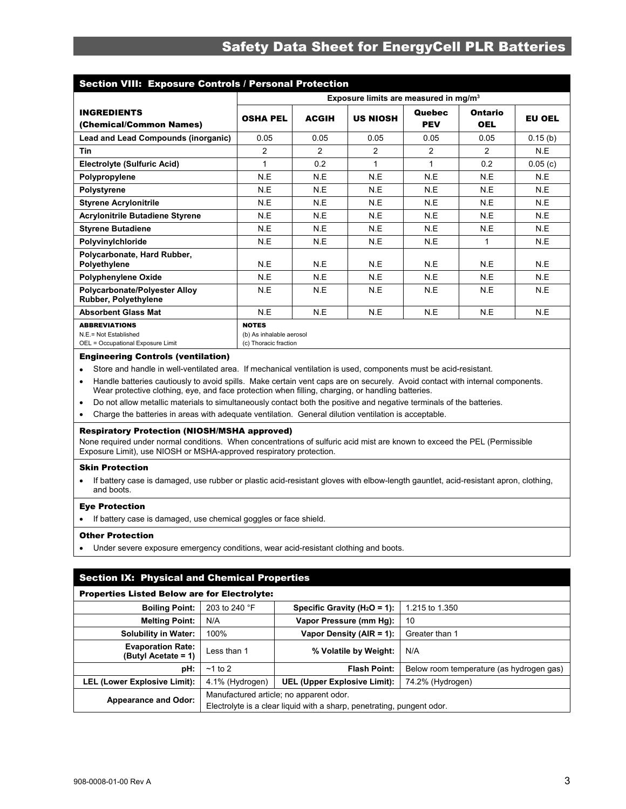| <b>Section VIII: Exposure Controls / Personal Protection</b>                       |                                                                   |                                                   |                 |                             |                       |               |
|------------------------------------------------------------------------------------|-------------------------------------------------------------------|---------------------------------------------------|-----------------|-----------------------------|-----------------------|---------------|
|                                                                                    |                                                                   | Exposure limits are measured in mg/m <sup>3</sup> |                 |                             |                       |               |
| <b>INGREDIENTS</b><br>(Chemical/Common Names)                                      | <b>OSHA PEL</b>                                                   | <b>ACGIH</b>                                      | <b>US NIOSH</b> | <b>Quebec</b><br><b>PEV</b> | Ontario<br><b>OEL</b> | <b>EU OEL</b> |
| Lead and Lead Compounds (inorganic)                                                | 0.05                                                              | 0.05                                              | 0.05            | 0.05                        | 0.05                  | 0.15(b)       |
| <b>Tin</b>                                                                         | 2                                                                 | 2                                                 | 2               | $\overline{2}$              | $\overline{2}$        | N.E           |
| <b>Electrolyte (Sulfuric Acid)</b>                                                 |                                                                   | 0.2                                               | 1               | 1                           | 0.2                   | 0.05(c)       |
| Polypropylene                                                                      | N.E                                                               | N.E                                               | N.E             | N.E                         | N.E                   | N.E           |
| <b>Polystyrene</b>                                                                 | N.E                                                               | N.E                                               | N.E             | N.E                         | N.E                   | N.E           |
| <b>Styrene Acrylonitrile</b>                                                       | N.E                                                               | N.E                                               | N.E             | N.E                         | N.E                   | N.E           |
| <b>Acrylonitrile Butadiene Styrene</b>                                             | N.E                                                               | N.E                                               | N.E             | N.E                         | N.E                   | N.E           |
| <b>Styrene Butadiene</b>                                                           | N.E                                                               | N.E                                               | N.E             | N.E                         | N.E                   | N.E           |
| Polyvinylchloride                                                                  | N.E                                                               | N.E                                               | N.E             | N.E                         | $\mathbf{1}$          | N.E           |
| Polycarbonate, Hard Rubber,<br>Polyethylene                                        | N.E                                                               | N.E                                               | N.E             | N.E                         | N.E                   | N.E           |
| <b>Polyphenylene Oxide</b>                                                         | N.E                                                               | N.E                                               | N.E             | N.E                         | N.E                   | N.E           |
| <b>Polycarbonate/Polyester Alloy</b><br>Rubber, Polyethylene                       | N.E                                                               | N.E                                               | N.E             | N.E                         | N.E                   | N.E           |
| <b>Absorbent Glass Mat</b>                                                         | N.E                                                               | N.E                                               | N.E             | N.E                         | N.E                   | N.E           |
| <b>ABBREVIATIONS</b><br>N.E.= Not Established<br>OEL = Occupational Exposure Limit | <b>NOTES</b><br>(b) As inhalable aerosol<br>(c) Thoracic fraction |                                                   |                 |                             |                       |               |

#### Engineering Controls (ventilation)

Store and handle in well-ventilated area. If mechanical ventilation is used, components must be acid-resistant.

- Handle batteries cautiously to avoid spills. Make certain vent caps are on securely. Avoid contact with internal components. Wear protective clothing, eye, and face protection when filling, charging, or handling batteries.
- Do not allow metallic materials to simultaneously contact both the positive and negative terminals of the batteries.
- Charge the batteries in areas with adequate ventilation. General dilution ventilation is acceptable.

#### Respiratory Protection (NIOSH/MSHA approved)

None required under normal conditions. When concentrations of sulfuric acid mist are known to exceed the PEL (Permissible Exposure Limit), use NIOSH or MSHA-approved respiratory protection.

#### Skin Protection

 If battery case is damaged, use rubber or plastic acid-resistant gloves with elbow-length gauntlet, acid-resistant apron, clothing, and boots.

#### Eye Protection

• If battery case is damaged, use chemical goggles or face shield.

#### Other Protection

Under severe exposure emergency conditions, wear acid-resistant clothing and boots.

| <b>Section IX: Physical and Chemical Properties</b> |                                                     |                                                                                                                   |                                          |  |  |  |
|-----------------------------------------------------|-----------------------------------------------------|-------------------------------------------------------------------------------------------------------------------|------------------------------------------|--|--|--|
|                                                     | <b>Properties Listed Below are for Electrolyte:</b> |                                                                                                                   |                                          |  |  |  |
| <b>Boiling Point:</b>                               | 203 to 240 °F                                       | Specific Gravity ( $H_2O = 1$ ):                                                                                  | 1.215 to 1.350                           |  |  |  |
| <b>Melting Point:</b>                               | N/A                                                 | Vapor Pressure (mm Hg):                                                                                           | 10                                       |  |  |  |
| <b>Solubility in Water:</b>                         | 100%                                                | Vapor Density (AIR = 1):                                                                                          | Greater than 1                           |  |  |  |
| <b>Evaporation Rate:</b><br>(Butyl Acetate = 1)     | Less than 1                                         | % Volatile by Weight:                                                                                             | N/A                                      |  |  |  |
| pH:                                                 | $~1$ to 2                                           | <b>Flash Point:</b>                                                                                               | Below room temperature (as hydrogen gas) |  |  |  |
| <b>LEL (Lower Explosive Limit):</b>                 | 4.1% (Hydrogen)                                     | UEL (Upper Explosive Limit):                                                                                      | 74.2% (Hydrogen)                         |  |  |  |
| <b>Appearance and Odor:</b>                         |                                                     | Manufactured article; no apparent odor.<br>Electrolyte is a clear liquid with a sharp, penetrating, pungent odor. |                                          |  |  |  |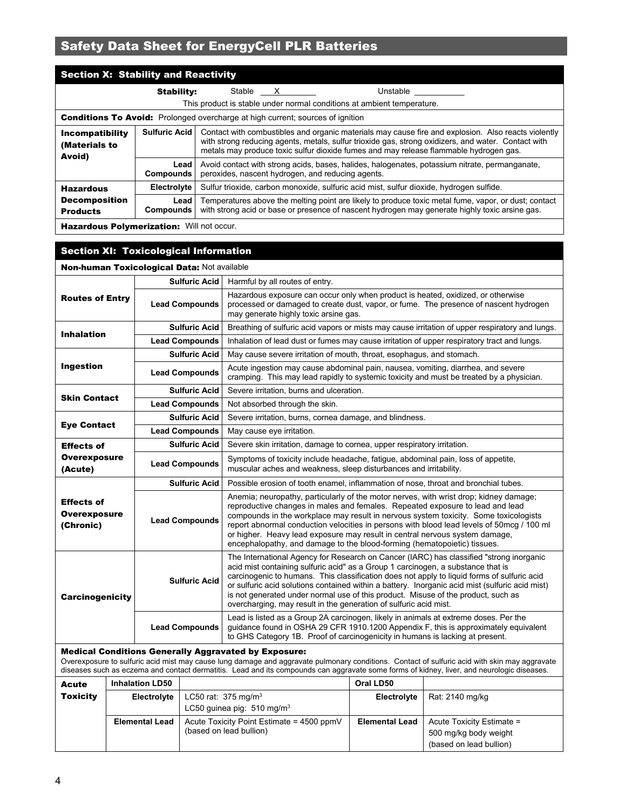| <b>Section X: Stability and Reactivity</b>                                                                                                                               |                   |                                                                                         |                                                                                                                                                                                                                                                                                                     |                                                                                                                                                                                                        |  |
|--------------------------------------------------------------------------------------------------------------------------------------------------------------------------|-------------------|-----------------------------------------------------------------------------------------|-----------------------------------------------------------------------------------------------------------------------------------------------------------------------------------------------------------------------------------------------------------------------------------------------------|--------------------------------------------------------------------------------------------------------------------------------------------------------------------------------------------------------|--|
| <b>Stability:</b>                                                                                                                                                        |                   | Stable X                                                                                |                                                                                                                                                                                                                                                                                                     | Unstable                                                                                                                                                                                               |  |
|                                                                                                                                                                          |                   |                                                                                         |                                                                                                                                                                                                                                                                                                     | This product is stable under normal conditions at ambient temperature.                                                                                                                                 |  |
| <b>Conditions To Avoid:</b> Prolonged overcharge at high current; sources of ignition                                                                                    |                   |                                                                                         |                                                                                                                                                                                                                                                                                                     |                                                                                                                                                                                                        |  |
| Incompatibility<br>(Materials to<br>Avoid)                                                                                                                               |                   |                                                                                         | Contact with combustibles and organic materials may cause fire and explosion. Also reacts violently<br>with strong reducing agents, metals, sulfur trioxide gas, strong oxidizers, and water. Contact with<br>metals may produce toxic sulfur dioxide fumes and may release flammable hydrogen gas. |                                                                                                                                                                                                        |  |
| Avoid contact with strong acids, bases, halides, halogenates, potassium nitrate, permanganate,<br>Lead<br>peroxides, nascent hydrogen, and reducing agents.<br>Compounds |                   |                                                                                         |                                                                                                                                                                                                                                                                                                     |                                                                                                                                                                                                        |  |
| <b>Hazardous</b>                                                                                                                                                         | Electrolyte       | Sulfur trioxide, carbon monoxide, sulfuric acid mist, sulfur dioxide, hydrogen sulfide. |                                                                                                                                                                                                                                                                                                     |                                                                                                                                                                                                        |  |
| <b>Decomposition</b><br><b>Products</b>                                                                                                                                  | Lead<br>Compounds |                                                                                         |                                                                                                                                                                                                                                                                                                     | Temperatures above the melting point are likely to produce toxic metal fume, vapor, or dust; contact<br>with strong acid or base or presence of nascent hydrogen may generate highly toxic arsine gas. |  |
|                                                                                                                                                                          |                   |                                                                                         |                                                                                                                                                                                                                                                                                                     |                                                                                                                                                                                                        |  |

Hazardous Polymerization: Will not occur.

| <b>Section XI: Toxicological Information</b>                                                         |                                                    |                                                                                                                                                                                                                                                                                                                                                                                                                                                                                                                                         |  |
|------------------------------------------------------------------------------------------------------|----------------------------------------------------|-----------------------------------------------------------------------------------------------------------------------------------------------------------------------------------------------------------------------------------------------------------------------------------------------------------------------------------------------------------------------------------------------------------------------------------------------------------------------------------------------------------------------------------------|--|
|                                                                                                      | <b>Non-human Toxicological Data: Not available</b> |                                                                                                                                                                                                                                                                                                                                                                                                                                                                                                                                         |  |
|                                                                                                      | <b>Sulfuric Acid</b>                               | Harmful by all routes of entry.                                                                                                                                                                                                                                                                                                                                                                                                                                                                                                         |  |
| <b>Routes of Entry</b><br><b>Lead Compounds</b>                                                      |                                                    | Hazardous exposure can occur only when product is heated, oxidized, or otherwise<br>processed or damaged to create dust, vapor, or fume. The presence of nascent hydrogen<br>may generate highly toxic arsine gas.                                                                                                                                                                                                                                                                                                                      |  |
| <b>Inhalation</b>                                                                                    | <b>Sulfuric Acid</b>                               | Breathing of sulfuric acid vapors or mists may cause irritation of upper respiratory and lungs.                                                                                                                                                                                                                                                                                                                                                                                                                                         |  |
|                                                                                                      | <b>Lead Compounds</b>                              | Inhalation of lead dust or fumes may cause irritation of upper respiratory tract and lungs.                                                                                                                                                                                                                                                                                                                                                                                                                                             |  |
|                                                                                                      | <b>Sulfuric Acid</b>                               | May cause severe irritation of mouth, throat, esophagus, and stomach.                                                                                                                                                                                                                                                                                                                                                                                                                                                                   |  |
| Ingestion                                                                                            | <b>Lead Compounds</b>                              | Acute ingestion may cause abdominal pain, nausea, vomiting, diarrhea, and severe<br>cramping. This may lead rapidly to systemic toxicity and must be treated by a physician.                                                                                                                                                                                                                                                                                                                                                            |  |
| <b>Skin Contact</b>                                                                                  | <b>Sulfuric Acid</b>                               | Severe irritation, burns and ulceration.                                                                                                                                                                                                                                                                                                                                                                                                                                                                                                |  |
|                                                                                                      | <b>Lead Compounds</b>                              | Not absorbed through the skin.                                                                                                                                                                                                                                                                                                                                                                                                                                                                                                          |  |
|                                                                                                      | <b>Sulfuric Acid</b>                               | Severe irritation, burns, cornea damage, and blindness.                                                                                                                                                                                                                                                                                                                                                                                                                                                                                 |  |
| <b>Eye Contact</b><br><b>Lead Compounds</b>                                                          |                                                    | May cause eye irritation.                                                                                                                                                                                                                                                                                                                                                                                                                                                                                                               |  |
| <b>Sulfuric Acid</b><br><b>Effects of</b><br><b>Overexposure</b><br><b>Lead Compounds</b><br>(Acute) |                                                    | Severe skin irritation, damage to cornea, upper respiratory irritation.                                                                                                                                                                                                                                                                                                                                                                                                                                                                 |  |
|                                                                                                      |                                                    | Symptoms of toxicity include headache, fatigue, abdominal pain, loss of appetite,<br>muscular aches and weakness, sleep disturbances and irritability.                                                                                                                                                                                                                                                                                                                                                                                  |  |
|                                                                                                      | <b>Sulfuric Acid</b>                               | Possible erosion of tooth enamel, inflammation of nose, throat and bronchial tubes.                                                                                                                                                                                                                                                                                                                                                                                                                                                     |  |
| <b>Effects of</b><br><b>Overexposure</b><br><b>Lead Compounds</b><br>(Chronic)                       |                                                    | Anemia; neuropathy, particularly of the motor nerves, with wrist drop; kidney damage;<br>reproductive changes in males and females. Repeated exposure to lead and lead<br>compounds in the workplace may result in nervous system toxicity. Some toxicologists<br>report abnormal conduction velocities in persons with blood lead levels of 50mcg / 100 ml<br>or higher. Heavy lead exposure may result in central nervous system damage,<br>encephalopathy, and damage to the blood-forming (hematopoietic) tissues.                  |  |
| <b>Carcinogenicity</b>                                                                               | <b>Sulfuric Acid</b>                               | The International Agency for Research on Cancer (IARC) has classified "strong inorganic<br>acid mist containing sulfuric acid" as a Group 1 carcinogen, a substance that is<br>carcinogenic to humans. This classification does not apply to liquid forms of sulfuric acid<br>or sulfuric acid solutions contained within a battery. Inorganic acid mist (sulfuric acid mist)<br>is not generated under normal use of this product. Misuse of the product, such as<br>overcharging, may result in the generation of sulfuric acid mist. |  |
|                                                                                                      | <b>Lead Compounds</b>                              | Lead is listed as a Group 2A carcinogen, likely in animals at extreme doses. Per the<br>guidance found in OSHA 29 CFR 1910.1200 Appendix F, this is approximately equivalent<br>to GHS Category 1B. Proof of carcinogenicity in humans is lacking at present.                                                                                                                                                                                                                                                                           |  |
| <b>Medical Conditions Generally Aggravated by Exposure:</b>                                          |                                                    |                                                                                                                                                                                                                                                                                                                                                                                                                                                                                                                                         |  |

Overexposure to sulfuric acid mist may cause lung damage and aggravate pulmonary conditions. Contact of sulfuric acid with skin may aggravate diseases such as eczema and contact dermatitis. Lead and its compounds can aggravate some forms of kidney, liver, and neurologic diseases.

| <b>Acute</b>    | <b>Inhalation LD50</b> |                                                                      | Oral LD50             |                                                                               |
|-----------------|------------------------|----------------------------------------------------------------------|-----------------------|-------------------------------------------------------------------------------|
| <b>Toxicity</b> | Electrolyte            | LC50 rat: $375 \text{ mg/m}^3$                                       | Electrolyte           | Rat: 2140 mg/kg                                                               |
|                 |                        | LC50 quinea pig: $510 \text{ mg/m}^3$                                |                       |                                                                               |
|                 | <b>Elemental Lead</b>  | Acute Toxicity Point Estimate = 4500 ppmV<br>(based on lead bullion) | <b>Elemental Lead</b> | Acute Toxicity Estimate =<br>500 mg/kg body weight<br>(based on lead bullion) |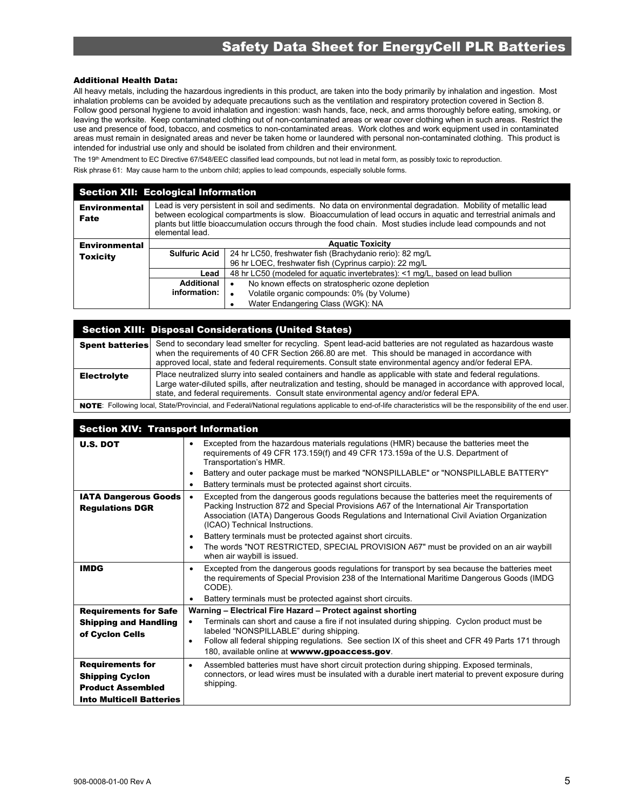#### Additional Health Data:

All heavy metals, including the hazardous ingredients in this product, are taken into the body primarily by inhalation and ingestion. Most inhalation problems can be avoided by adequate precautions such as the ventilation and respiratory protection covered in Section 8. Follow good personal hygiene to avoid inhalation and ingestion: wash hands, face, neck, and arms thoroughly before eating, smoking, or leaving the worksite. Keep contaminated clothing out of non-contaminated areas or wear cover clothing when in such areas. Restrict the use and presence of food, tobacco, and cosmetics to non-contaminated areas. Work clothes and work equipment used in contaminated areas must remain in designated areas and never be taken home or laundered with personal non-contaminated clothing. This product is intended for industrial use only and should be isolated from children and their environment.

The 19<sup>th</sup> Amendment to EC Directive 67/548/EEC classified lead compounds, but not lead in metal form, as possibly toxic to reproduction.

Risk phrase 61: May cause harm to the unborn child; applies to lead compounds, especially soluble forms.

#### Section XII: Ecological Information

| <b>Environmental</b><br>Fate | Lead is very persistent in soil and sediments. No data on environmental degradation. Mobility of metallic lead<br>between ecological compartments is slow. Bioaccumulation of lead occurs in aquatic and terrestrial animals and<br>plants but little bioaccumulation occurs through the food chain. Most studies include lead compounds and not<br>elemental lead. |                                                          |  |  |  |  |
|------------------------------|---------------------------------------------------------------------------------------------------------------------------------------------------------------------------------------------------------------------------------------------------------------------------------------------------------------------------------------------------------------------|----------------------------------------------------------|--|--|--|--|
| <b>Environmental</b>         |                                                                                                                                                                                                                                                                                                                                                                     | <b>Aquatic Toxicity</b>                                  |  |  |  |  |
| <b>Toxicity</b>              | <b>Sulfuric Acid</b>                                                                                                                                                                                                                                                                                                                                                | 24 hr LC50, freshwater fish (Brachydanio rerio): 82 mg/L |  |  |  |  |
|                              |                                                                                                                                                                                                                                                                                                                                                                     | 96 hr LOEC, freshwater fish (Cyprinus carpio): 22 mg/L   |  |  |  |  |
|                              | 48 hr LC50 (modeled for aquatic invertebrates): <1 mg/L, based on lead bullion<br>Lead                                                                                                                                                                                                                                                                              |                                                          |  |  |  |  |
|                              | Additional                                                                                                                                                                                                                                                                                                                                                          | No known effects on stratospheric ozone depletion        |  |  |  |  |
|                              | information:                                                                                                                                                                                                                                                                                                                                                        | Volatile organic compounds: 0% (by Volume)               |  |  |  |  |
|                              |                                                                                                                                                                                                                                                                                                                                                                     | Water Endangering Class (WGK): NA                        |  |  |  |  |

#### Section XIII: Disposal Considerations (United States)

|                    | Spent batteries Send to secondary lead smelter for recycling. Spent lead-acid batteries are not regulated as hazardous waste<br>when the requirements of 40 CFR Section 266.80 are met. This should be managed in accordance with<br>approved local, state and federal requirements. Consult state environmental agency and/or federal EPA. |
|--------------------|---------------------------------------------------------------------------------------------------------------------------------------------------------------------------------------------------------------------------------------------------------------------------------------------------------------------------------------------|
| <b>Electrolyte</b> | Place neutralized slurry into sealed containers and handle as applicable with state and federal regulations.<br>Large water-diluted spills, after neutralization and testing, should be managed in accordance with approved local,<br>state, and federal requirements. Consult state environmental agency and/or federal EPA.               |
|                    | NOTE: Following local, State/Provincial, and Federal/National regulations applicable to end-of-life characteristics will be the responsibility of the end user.                                                                                                                                                                             |

#### Section XIV: Transport Information

| <b>U.S. DOT</b>                                                                                                  | Excepted from the hazardous materials regulations (HMR) because the batteries meet the<br>requirements of 49 CFR 173.159(f) and 49 CFR 173.159a of the U.S. Department of<br>Transportation's HMR.<br>Battery and outer package must be marked "NONSPILLABLE" or "NONSPILLABLE BATTERY"<br>Battery terminals must be protected against short circuits. |
|------------------------------------------------------------------------------------------------------------------|--------------------------------------------------------------------------------------------------------------------------------------------------------------------------------------------------------------------------------------------------------------------------------------------------------------------------------------------------------|
| <b>IATA Dangerous Goods</b><br><b>Regulations DGR</b>                                                            | Excepted from the dangerous goods regulations because the batteries meet the requirements of<br>Packing Instruction 872 and Special Provisions A67 of the International Air Transportation<br>Association (IATA) Dangerous Goods Regulations and International Civil Aviation Organization<br>(ICAO) Technical Instructions.                           |
|                                                                                                                  | Battery terminals must be protected against short circuits.<br>$\bullet$<br>The words "NOT RESTRICTED, SPECIAL PROVISION A67" must be provided on an air waybill<br>$\bullet$<br>when air waybill is issued.                                                                                                                                           |
| <b>IMDG</b>                                                                                                      | Excepted from the dangerous goods regulations for transport by sea because the batteries meet<br>٠<br>the requirements of Special Provision 238 of the International Maritime Dangerous Goods (IMDG<br>CODE).<br>Battery terminals must be protected against short circuits.                                                                           |
| <b>Requirements for Safe</b>                                                                                     | Warning - Electrical Fire Hazard - Protect against shorting                                                                                                                                                                                                                                                                                            |
| <b>Shipping and Handling</b><br>of Cyclon Cells                                                                  | Terminals can short and cause a fire if not insulated during shipping. Cyclon product must be<br>labeled "NONSPILLABLE" during shipping.<br>Follow all federal shipping regulations. See section IX of this sheet and CFR 49 Parts 171 through<br>$\bullet$<br>180, available online at wwww.gpoaccess.gov.                                            |
| <b>Requirements for</b><br><b>Shipping Cyclon</b><br><b>Product Assembled</b><br><b>Into Multicell Batteries</b> | Assembled batteries must have short circuit protection during shipping. Exposed terminals,<br>$\bullet$<br>connectors, or lead wires must be insulated with a durable inert material to prevent exposure during<br>shipping.                                                                                                                           |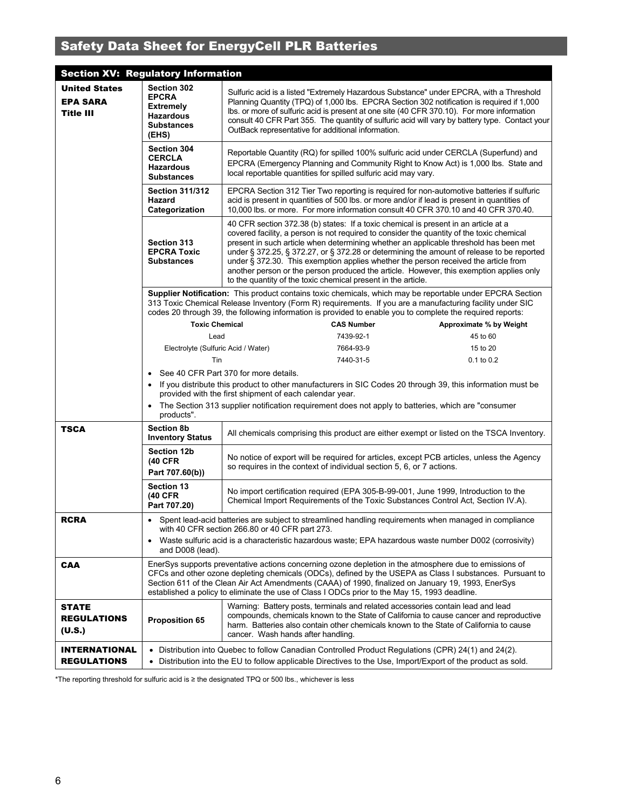| <b>Section XV: Regulatory Information</b>                   |                                                                                                                                                                                                                                                                                                                                                                                                                           |                                                                                                                                                                                                                                                                                                                                                                                                                                                                                                                                                                                                                           |                                                                                                                                                                                                                                               |                                                                                                                                                                                                                                                                                 |  |  |
|-------------------------------------------------------------|---------------------------------------------------------------------------------------------------------------------------------------------------------------------------------------------------------------------------------------------------------------------------------------------------------------------------------------------------------------------------------------------------------------------------|---------------------------------------------------------------------------------------------------------------------------------------------------------------------------------------------------------------------------------------------------------------------------------------------------------------------------------------------------------------------------------------------------------------------------------------------------------------------------------------------------------------------------------------------------------------------------------------------------------------------------|-----------------------------------------------------------------------------------------------------------------------------------------------------------------------------------------------------------------------------------------------|---------------------------------------------------------------------------------------------------------------------------------------------------------------------------------------------------------------------------------------------------------------------------------|--|--|
| <b>United States</b><br><b>EPA SARA</b><br><b>Title III</b> | Section 302<br><b>EPCRA</b><br><b>Extremely</b><br>Hazardous<br><b>Substances</b><br>(EHS)                                                                                                                                                                                                                                                                                                                                | Sulfuric acid is a listed "Extremely Hazardous Substance" under EPCRA, with a Threshold<br>Planning Quantity (TPQ) of 1,000 lbs. EPCRA Section 302 notification is required if 1,000<br>Ibs. or more of sulfuric acid is present at one site (40 CFR 370.10). For more information<br>consult 40 CFR Part 355. The quantity of sulfuric acid will vary by battery type. Contact your<br>OutBack representative for additional information.                                                                                                                                                                                |                                                                                                                                                                                                                                               |                                                                                                                                                                                                                                                                                 |  |  |
|                                                             | Section 304<br><b>CERCLA</b><br><b>Hazardous</b><br><b>Substances</b>                                                                                                                                                                                                                                                                                                                                                     |                                                                                                                                                                                                                                                                                                                                                                                                                                                                                                                                                                                                                           | Reportable Quantity (RQ) for spilled 100% sulfuric acid under CERCLA (Superfund) and<br>EPCRA (Emergency Planning and Community Right to Know Act) is 1,000 lbs. State and<br>local reportable quantities for spilled sulfuric acid may vary. |                                                                                                                                                                                                                                                                                 |  |  |
|                                                             | <b>Section 311/312</b><br>Hazard<br>Categorization                                                                                                                                                                                                                                                                                                                                                                        |                                                                                                                                                                                                                                                                                                                                                                                                                                                                                                                                                                                                                           |                                                                                                                                                                                                                                               | EPCRA Section 312 Tier Two reporting is required for non-automotive batteries if sulfuric<br>acid is present in quantities of 500 lbs. or more and/or if lead is present in quantities of<br>10,000 lbs. or more. For more information consult 40 CFR 370.10 and 40 CFR 370.40. |  |  |
|                                                             | Section 313<br><b>EPCRA Toxic</b><br><b>Substances</b>                                                                                                                                                                                                                                                                                                                                                                    | 40 CFR section 372.38 (b) states: If a toxic chemical is present in an article at a<br>covered facility, a person is not required to consider the quantity of the toxic chemical<br>present in such article when determining whether an applicable threshold has been met<br>under § 372.25, § 372.27, or § 372.28 or determining the amount of release to be reported<br>under § 372.30. This exemption applies whether the person received the article from<br>another person or the person produced the article. However, this exemption applies only<br>to the quantity of the toxic chemical present in the article. |                                                                                                                                                                                                                                               |                                                                                                                                                                                                                                                                                 |  |  |
|                                                             |                                                                                                                                                                                                                                                                                                                                                                                                                           | codes 20 through 39, the following information is provided to enable you to complete the required reports:                                                                                                                                                                                                                                                                                                                                                                                                                                                                                                                |                                                                                                                                                                                                                                               | Supplier Notification: This product contains toxic chemicals, which may be reportable under EPCRA Section<br>313 Toxic Chemical Release Inventory (Form R) requirements. If you are a manufacturing facility under SIC                                                          |  |  |
|                                                             | <b>Toxic Chemical</b>                                                                                                                                                                                                                                                                                                                                                                                                     |                                                                                                                                                                                                                                                                                                                                                                                                                                                                                                                                                                                                                           | <b>CAS Number</b>                                                                                                                                                                                                                             | Approximate % by Weight                                                                                                                                                                                                                                                         |  |  |
|                                                             | Lead                                                                                                                                                                                                                                                                                                                                                                                                                      |                                                                                                                                                                                                                                                                                                                                                                                                                                                                                                                                                                                                                           | 7439-92-1                                                                                                                                                                                                                                     | 45 to 60                                                                                                                                                                                                                                                                        |  |  |
|                                                             | Electrolyte (Sulfuric Acid / Water)                                                                                                                                                                                                                                                                                                                                                                                       |                                                                                                                                                                                                                                                                                                                                                                                                                                                                                                                                                                                                                           | 7664-93-9                                                                                                                                                                                                                                     | 15 to 20                                                                                                                                                                                                                                                                        |  |  |
|                                                             | Tin                                                                                                                                                                                                                                                                                                                                                                                                                       |                                                                                                                                                                                                                                                                                                                                                                                                                                                                                                                                                                                                                           | 7440-31-5                                                                                                                                                                                                                                     | $0.1$ to $0.2$                                                                                                                                                                                                                                                                  |  |  |
|                                                             |                                                                                                                                                                                                                                                                                                                                                                                                                           | See 40 CFR Part 370 for more details.                                                                                                                                                                                                                                                                                                                                                                                                                                                                                                                                                                                     |                                                                                                                                                                                                                                               |                                                                                                                                                                                                                                                                                 |  |  |
|                                                             |                                                                                                                                                                                                                                                                                                                                                                                                                           | provided with the first shipment of each calendar year.                                                                                                                                                                                                                                                                                                                                                                                                                                                                                                                                                                   | • If you distribute this product to other manufacturers in SIC Codes 20 through 39, this information must be                                                                                                                                  |                                                                                                                                                                                                                                                                                 |  |  |
|                                                             | $\bullet$<br>products".                                                                                                                                                                                                                                                                                                                                                                                                   | The Section 313 supplier notification requirement does not apply to batteries, which are "consumer"                                                                                                                                                                                                                                                                                                                                                                                                                                                                                                                       |                                                                                                                                                                                                                                               |                                                                                                                                                                                                                                                                                 |  |  |
| <b>TSCA</b>                                                 | <b>Section 8b</b><br><b>Inventory Status</b>                                                                                                                                                                                                                                                                                                                                                                              |                                                                                                                                                                                                                                                                                                                                                                                                                                                                                                                                                                                                                           |                                                                                                                                                                                                                                               | All chemicals comprising this product are either exempt or listed on the TSCA Inventory.                                                                                                                                                                                        |  |  |
|                                                             | <b>Section 12b</b><br>(40 CFR<br>Part 707.60(b))                                                                                                                                                                                                                                                                                                                                                                          | No notice of export will be required for articles, except PCB articles, unless the Agency<br>so requires in the context of individual section 5, 6, or 7 actions.                                                                                                                                                                                                                                                                                                                                                                                                                                                         |                                                                                                                                                                                                                                               |                                                                                                                                                                                                                                                                                 |  |  |
|                                                             | <b>Section 13</b><br>(40 CFR<br>Part 707.20)                                                                                                                                                                                                                                                                                                                                                                              | No import certification required (EPA 305-B-99-001, June 1999, Introduction to the<br>Chemical Import Requirements of the Toxic Substances Control Act, Section IV.A).                                                                                                                                                                                                                                                                                                                                                                                                                                                    |                                                                                                                                                                                                                                               |                                                                                                                                                                                                                                                                                 |  |  |
| <b>RCRA</b>                                                 | $\bullet$                                                                                                                                                                                                                                                                                                                                                                                                                 | with 40 CFR section 266.80 or 40 CFR part 273.                                                                                                                                                                                                                                                                                                                                                                                                                                                                                                                                                                            |                                                                                                                                                                                                                                               | Spent lead-acid batteries are subject to streamlined handling requirements when managed in compliance                                                                                                                                                                           |  |  |
|                                                             | Waste sulfuric acid is a characteristic hazardous waste; EPA hazardous waste number D002 (corrosivity)<br>$\bullet$<br>and D008 (lead).                                                                                                                                                                                                                                                                                   |                                                                                                                                                                                                                                                                                                                                                                                                                                                                                                                                                                                                                           |                                                                                                                                                                                                                                               |                                                                                                                                                                                                                                                                                 |  |  |
| <b>CAA</b>                                                  | EnerSys supports preventative actions concerning ozone depletion in the atmosphere due to emissions of<br>CFCs and other ozone depleting chemicals (ODCs), defined by the USEPA as Class I substances. Pursuant to<br>Section 611 of the Clean Air Act Amendments (CAAA) of 1990, finalized on January 19, 1993, EnerSys<br>established a policy to eliminate the use of Class I ODCs prior to the May 15, 1993 deadline. |                                                                                                                                                                                                                                                                                                                                                                                                                                                                                                                                                                                                                           |                                                                                                                                                                                                                                               |                                                                                                                                                                                                                                                                                 |  |  |
| <b>STATE</b><br><b>REGULATIONS</b><br>(U.S.)                | <b>Proposition 65</b>                                                                                                                                                                                                                                                                                                                                                                                                     | Warning: Battery posts, terminals and related accessories contain lead and lead<br>cancer. Wash hands after handling.                                                                                                                                                                                                                                                                                                                                                                                                                                                                                                     |                                                                                                                                                                                                                                               | compounds, chemicals known to the State of California to cause cancer and reproductive<br>harm. Batteries also contain other chemicals known to the State of California to cause                                                                                                |  |  |
| <b>INTERNATIONAL</b><br><b>REGULATIONS</b>                  | ٠                                                                                                                                                                                                                                                                                                                                                                                                                         |                                                                                                                                                                                                                                                                                                                                                                                                                                                                                                                                                                                                                           | Distribution into Quebec to follow Canadian Controlled Product Regulations (CPR) 24(1) and 24(2).<br>• Distribution into the EU to follow applicable Directives to the Use, Import/Export of the product as sold.                             |                                                                                                                                                                                                                                                                                 |  |  |

\*The reporting threshold for sulfuric acid is ≥ the designated TPQ or 500 lbs., whichever is less